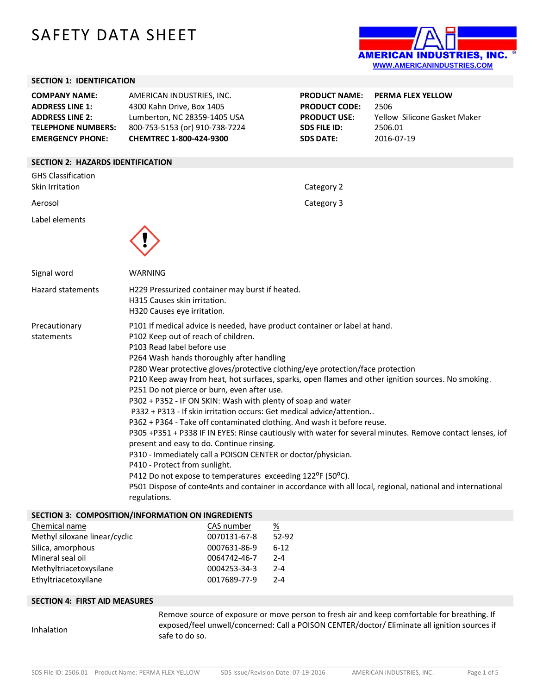# SAFETY DATA SHEET



#### **SECTION 1: IDENTIFICATION**

| <b>COMPANY NAME:</b><br><b>ADDRESS LINE 1:</b><br><b>ADDRESS LINE 2:</b><br><b>TELEPHONE NUMBERS:</b><br><b>EMERGENCY PHONE:</b> | AMERICAN INDUSTRIES, INC.<br>4300 Kahn Drive, Box 1405<br>Lumberton, NC 28359-1405 USA<br>800-753-5153 (or) 910-738-7224<br><b>CHEMTREC 1-800-424-9300</b> | <b>PRODUCT NAME:</b><br><b>PRODUCT CODE:</b><br><b>PRODUCT USE:</b><br>SDS FILE ID:<br><b>SDS DATE:</b> | <b>PERMA FLEX YELLOW</b><br>2506<br>Yellow Silicone Gasket Maker<br>2506.01<br>2016-07-19 |
|----------------------------------------------------------------------------------------------------------------------------------|------------------------------------------------------------------------------------------------------------------------------------------------------------|---------------------------------------------------------------------------------------------------------|-------------------------------------------------------------------------------------------|
| <b>SECTION 2: HAZARDS IDENTIFICATION</b>                                                                                         |                                                                                                                                                            |                                                                                                         |                                                                                           |
| GHS Classification                                                                                                               |                                                                                                                                                            |                                                                                                         |                                                                                           |

| und Classincation<br>Skin Irritation | Category 2                                                                                                                                                                                                                                                                                                                                                                                                                                                                                                                                                                                                                                                                                                                                                                                                                                                                                                                                                                                                                                                                                                      |
|--------------------------------------|-----------------------------------------------------------------------------------------------------------------------------------------------------------------------------------------------------------------------------------------------------------------------------------------------------------------------------------------------------------------------------------------------------------------------------------------------------------------------------------------------------------------------------------------------------------------------------------------------------------------------------------------------------------------------------------------------------------------------------------------------------------------------------------------------------------------------------------------------------------------------------------------------------------------------------------------------------------------------------------------------------------------------------------------------------------------------------------------------------------------|
| Aerosol                              | Category 3                                                                                                                                                                                                                                                                                                                                                                                                                                                                                                                                                                                                                                                                                                                                                                                                                                                                                                                                                                                                                                                                                                      |
| Label elements                       |                                                                                                                                                                                                                                                                                                                                                                                                                                                                                                                                                                                                                                                                                                                                                                                                                                                                                                                                                                                                                                                                                                                 |
| Signal word                          | WARNING                                                                                                                                                                                                                                                                                                                                                                                                                                                                                                                                                                                                                                                                                                                                                                                                                                                                                                                                                                                                                                                                                                         |
| <b>Hazard statements</b>             | H229 Pressurized container may burst if heated.<br>H315 Causes skin irritation.<br>H320 Causes eye irritation.                                                                                                                                                                                                                                                                                                                                                                                                                                                                                                                                                                                                                                                                                                                                                                                                                                                                                                                                                                                                  |
| Precautionary<br>statements          | P101 If medical advice is needed, have product container or label at hand.<br>P102 Keep out of reach of children.<br>P103 Read label before use<br>P264 Wash hands thoroughly after handling<br>P280 Wear protective gloves/protective clothing/eye protection/face protection<br>P210 Keep away from heat, hot surfaces, sparks, open flames and other ignition sources. No smoking.<br>P251 Do not pierce or burn, even after use.<br>P302 + P352 - IF ON SKIN: Wash with plenty of soap and water<br>P332 + P313 - If skin irritation occurs: Get medical advice/attention<br>P362 + P364 - Take off contaminated clothing. And wash it before reuse.<br>P305 +P351 + P338 IF IN EYES: Rinse cautiously with water for several minutes. Remove contact lenses, iof<br>present and easy to do. Continue rinsing.<br>P310 - Immediately call a POISON CENTER or doctor/physician.<br>P410 - Protect from sunlight.<br>P412 Do not expose to temperatures exceeding 122°F (50°C).<br>P501 Dispose of conte4nts and container in accordance with all local, regional, national and international<br>regulations. |

## **SECTION 3: COMPOSITION/INFORMATION ON INGREDIENTS**

| Chemical name                 | CAS number   | %       |
|-------------------------------|--------------|---------|
| Methyl siloxane linear/cyclic | 0070131-67-8 | 52-92   |
| Silica, amorphous             | 0007631-86-9 | $6-12$  |
| Mineral seal oil              | 0064742-46-7 | $2 - 4$ |
| Methyltriacetoxysilane        | 0004253-34-3 | $2 - 4$ |
| Ethyltriacetoxyilane          | 0017689-77-9 | $2 - 4$ |

#### **SECTION 4: FIRST AID MEASURES**

```
Inhalation
```
Remove source of exposure or move person to fresh air and keep comfortable for breathing. If exposed/feel unwell/concerned: Call a POISON CENTER/doctor/ Eliminate all ignition sources if safe to do so.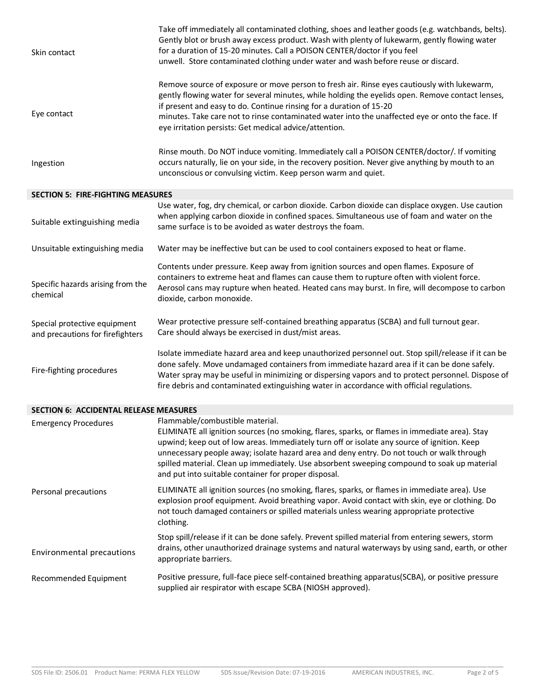| Skin contact                                                     | Take off immediately all contaminated clothing, shoes and leather goods (e.g. watchbands, belts).<br>Gently blot or brush away excess product. Wash with plenty of lukewarm, gently flowing water<br>for a duration of 15-20 minutes. Call a POISON CENTER/doctor if you feel<br>unwell. Store contaminated clothing under water and wash before reuse or discard.                                                                                                                   |
|------------------------------------------------------------------|--------------------------------------------------------------------------------------------------------------------------------------------------------------------------------------------------------------------------------------------------------------------------------------------------------------------------------------------------------------------------------------------------------------------------------------------------------------------------------------|
| Eye contact                                                      | Remove source of exposure or move person to fresh air. Rinse eyes cautiously with lukewarm,<br>gently flowing water for several minutes, while holding the eyelids open. Remove contact lenses,<br>if present and easy to do. Continue rinsing for a duration of 15-20<br>minutes. Take care not to rinse contaminated water into the unaffected eye or onto the face. If<br>eye irritation persists: Get medical advice/attention.                                                  |
| Ingestion                                                        | Rinse mouth. Do NOT induce vomiting. Immediately call a POISON CENTER/doctor/. If vomiting<br>occurs naturally, lie on your side, in the recovery position. Never give anything by mouth to an<br>unconscious or convulsing victim. Keep person warm and quiet.                                                                                                                                                                                                                      |
| <b>SECTION 5: FIRE-FIGHTING MEASURES</b>                         |                                                                                                                                                                                                                                                                                                                                                                                                                                                                                      |
| Suitable extinguishing media                                     | Use water, fog, dry chemical, or carbon dioxide. Carbon dioxide can displace oxygen. Use caution<br>when applying carbon dioxide in confined spaces. Simultaneous use of foam and water on the<br>same surface is to be avoided as water destroys the foam.                                                                                                                                                                                                                          |
| Unsuitable extinguishing media                                   | Water may be ineffective but can be used to cool containers exposed to heat or flame.                                                                                                                                                                                                                                                                                                                                                                                                |
| Specific hazards arising from the<br>chemical                    | Contents under pressure. Keep away from ignition sources and open flames. Exposure of<br>containers to extreme heat and flames can cause them to rupture often with violent force.<br>Aerosol cans may rupture when heated. Heated cans may burst. In fire, will decompose to carbon<br>dioxide, carbon monoxide.                                                                                                                                                                    |
| Special protective equipment<br>and precautions for firefighters | Wear protective pressure self-contained breathing apparatus (SCBA) and full turnout gear.<br>Care should always be exercised in dust/mist areas.                                                                                                                                                                                                                                                                                                                                     |
| Fire-fighting procedures                                         | Isolate immediate hazard area and keep unauthorized personnel out. Stop spill/release if it can be<br>done safely. Move undamaged containers from immediate hazard area if it can be done safely.<br>Water spray may be useful in minimizing or dispersing vapors and to protect personnel. Dispose of<br>fire debris and contaminated extinguishing water in accordance with official regulations.                                                                                  |
| <b>SECTION 6: ACCIDENTAL RELEASE MEASURES</b>                    |                                                                                                                                                                                                                                                                                                                                                                                                                                                                                      |
| <b>Emergency Procedures</b>                                      | Flammable/combustible material.<br>ELIMINATE all ignition sources (no smoking, flares, sparks, or flames in immediate area). Stay<br>upwind; keep out of low areas. Immediately turn off or isolate any source of ignition. Keep<br>unnecessary people away; isolate hazard area and deny entry. Do not touch or walk through<br>spilled material. Clean up immediately. Use absorbent sweeping compound to soak up material<br>and put into suitable container for proper disposal. |
| Personal precautions                                             | ELIMINATE all ignition sources (no smoking, flares, sparks, or flames in immediate area). Use<br>explosion proof equipment. Avoid breathing vapor. Avoid contact with skin, eye or clothing. Do<br>not touch damaged containers or spilled materials unless wearing appropriate protective<br>clothing.                                                                                                                                                                              |
| <b>Environmental precautions</b>                                 | Stop spill/release if it can be done safely. Prevent spilled material from entering sewers, storm<br>drains, other unauthorized drainage systems and natural waterways by using sand, earth, or other<br>appropriate barriers.                                                                                                                                                                                                                                                       |
| Recommended Equipment                                            | Positive pressure, full-face piece self-contained breathing apparatus(SCBA), or positive pressure<br>supplied air respirator with escape SCBA (NIOSH approved).                                                                                                                                                                                                                                                                                                                      |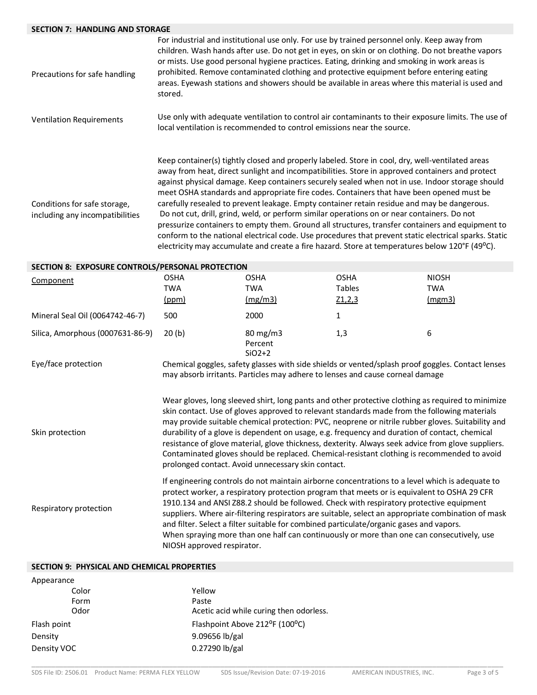## **SECTION 7: HANDLING AND STORAGE**

| Precautions for safe handling                                   | stored.                            |                                                                        | For industrial and institutional use only. For use by trained personnel only. Keep away from<br>children. Wash hands after use. Do not get in eyes, on skin or on clothing. Do not breathe vapors<br>or mists. Use good personal hygiene practices. Eating, drinking and smoking in work areas is<br>prohibited. Remove contaminated clothing and protective equipment before entering eating<br>areas. Eyewash stations and showers should be available in areas where this material is used and                                                                                                                                                                                                                                                                                                                                                                                                               |                                      |
|-----------------------------------------------------------------|------------------------------------|------------------------------------------------------------------------|-----------------------------------------------------------------------------------------------------------------------------------------------------------------------------------------------------------------------------------------------------------------------------------------------------------------------------------------------------------------------------------------------------------------------------------------------------------------------------------------------------------------------------------------------------------------------------------------------------------------------------------------------------------------------------------------------------------------------------------------------------------------------------------------------------------------------------------------------------------------------------------------------------------------|--------------------------------------|
| <b>Ventilation Requirements</b>                                 |                                    | local ventilation is recommended to control emissions near the source. | Use only with adequate ventilation to control air contaminants to their exposure limits. The use of                                                                                                                                                                                                                                                                                                                                                                                                                                                                                                                                                                                                                                                                                                                                                                                                             |                                      |
| Conditions for safe storage,<br>including any incompatibilities |                                    |                                                                        | Keep container(s) tightly closed and properly labeled. Store in cool, dry, well-ventilated areas<br>away from heat, direct sunlight and incompatibilities. Store in approved containers and protect<br>against physical damage. Keep containers securely sealed when not in use. Indoor storage should<br>meet OSHA standards and appropriate fire codes. Containers that have been opened must be<br>carefully resealed to prevent leakage. Empty container retain residue and may be dangerous.<br>Do not cut, drill, grind, weld, or perform similar operations on or near containers. Do not<br>pressurize containers to empty them. Ground all structures, transfer containers and equipment to<br>conform to the national electrical code. Use procedures that prevent static electrical sparks. Static<br>electricity may accumulate and create a fire hazard. Store at temperatures below 120°F (49°C). |                                      |
| SECTION 8: EXPOSURE CONTROLS/PERSONAL PROTECTION                |                                    |                                                                        |                                                                                                                                                                                                                                                                                                                                                                                                                                                                                                                                                                                                                                                                                                                                                                                                                                                                                                                 |                                      |
| Component                                                       | <b>OSHA</b><br><b>TWA</b><br>(ppm) | <b>OSHA</b><br><b>TWA</b><br>(mg/m3)                                   | <b>OSHA</b><br>Tables<br>$Z_1, 2, 3$                                                                                                                                                                                                                                                                                                                                                                                                                                                                                                                                                                                                                                                                                                                                                                                                                                                                            | <b>NIOSH</b><br><b>TWA</b><br>(mgm3) |
| Mineral Seal Oil (0064742-46-7)                                 | 500                                | 2000                                                                   | $\mathbf{1}$                                                                                                                                                                                                                                                                                                                                                                                                                                                                                                                                                                                                                                                                                                                                                                                                                                                                                                    |                                      |
| Silica, Amorphous (0007631-86-9)                                | 20(b)                              | 80 mg/m3<br>Percent<br>$SiO2+2$                                        | 1,3                                                                                                                                                                                                                                                                                                                                                                                                                                                                                                                                                                                                                                                                                                                                                                                                                                                                                                             | 6                                    |
| Eye/face protection                                             |                                    |                                                                        | Chemical goggles, safety glasses with side shields or vented/splash proof goggles. Contact lenses<br>may absorb irritants. Particles may adhere to lenses and cause corneal damage                                                                                                                                                                                                                                                                                                                                                                                                                                                                                                                                                                                                                                                                                                                              |                                      |
| Skin protection                                                 |                                    | prolonged contact. Avoid unnecessary skin contact.                     | Wear gloves, long sleeved shirt, long pants and other protective clothing as required to minimize<br>skin contact. Use of gloves approved to relevant standards made from the following materials<br>may provide suitable chemical protection: PVC, neoprene or nitrile rubber gloves. Suitability and<br>durability of a glove is dependent on usage, e.g. frequency and duration of contact, chemical<br>resistance of glove material, glove thickness, dexterity. Always seek advice from glove suppliers.<br>Contaminated gloves should be replaced. Chemical-resistant clothing is recommended to avoid                                                                                                                                                                                                                                                                                                    |                                      |

Respiratory protection

Appearance and the second second

If engineering controls do not maintain airborne concentrations to a level which is adequate to protect worker, a respiratory protection program that meets or is equivalent to OSHA 29 CFR 1910.134 and ANSI Z88.2 should be followed. Check with respiratory protective equipment suppliers. Where air-filtering respirators are suitable, select an appropriate combination of mask and filter. Select a filter suitable for combined particulate/organic gases and vapors. When spraying more than one half can continuously or more than one can consecutively, use NIOSH approved respirator.

# **SECTION 9: PHYSICAL AND CHEMICAL PROPERTIES**

| Appearance  |                                         |
|-------------|-----------------------------------------|
| Color       | Yellow                                  |
| Form        | Paste                                   |
| Odor        | Acetic acid while curing then odorless. |
| Flash point | Flashpoint Above 212°F (100°C)          |
| Density     | 9.09656 lb/gal                          |
| Density VOC | $0.27290$ lb/gal                        |
|             |                                         |

\_\_\_\_\_\_\_\_\_\_\_\_\_\_\_\_\_\_\_\_\_\_\_\_\_\_\_\_\_\_\_\_\_\_\_\_\_\_\_\_\_\_\_\_\_\_\_\_\_\_\_\_\_\_\_\_\_\_\_\_\_\_\_\_\_\_\_\_\_\_\_\_\_\_\_\_\_\_\_\_\_\_\_\_\_\_\_\_\_\_\_\_\_\_\_\_\_\_\_\_\_\_\_\_\_\_\_\_\_\_\_\_\_\_\_\_\_\_\_\_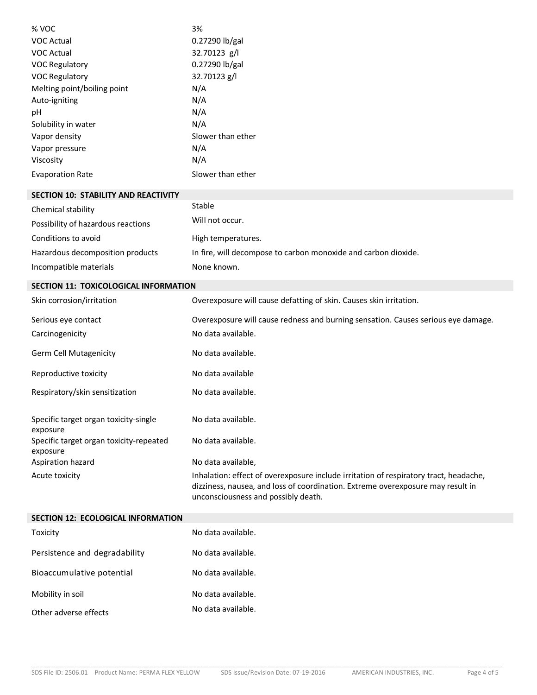| % VOC                                               | 3%                                                                                                                                                                                                              |
|-----------------------------------------------------|-----------------------------------------------------------------------------------------------------------------------------------------------------------------------------------------------------------------|
| <b>VOC Actual</b>                                   | 0.27290 lb/gal                                                                                                                                                                                                  |
| <b>VOC Actual</b>                                   | 32.70123 g/l                                                                                                                                                                                                    |
| <b>VOC Regulatory</b>                               | 0.27290 lb/gal                                                                                                                                                                                                  |
| <b>VOC Regulatory</b>                               | 32.70123 g/l                                                                                                                                                                                                    |
| Melting point/boiling point                         | N/A                                                                                                                                                                                                             |
| Auto-igniting                                       | N/A                                                                                                                                                                                                             |
| рH                                                  | N/A                                                                                                                                                                                                             |
| Solubility in water                                 | N/A                                                                                                                                                                                                             |
| Vapor density                                       | Slower than ether                                                                                                                                                                                               |
| Vapor pressure                                      | N/A                                                                                                                                                                                                             |
| Viscosity                                           | N/A                                                                                                                                                                                                             |
| <b>Evaporation Rate</b>                             | Slower than ether                                                                                                                                                                                               |
| <b>SECTION 10: STABILITY AND REACTIVITY</b>         |                                                                                                                                                                                                                 |
| Chemical stability                                  | Stable                                                                                                                                                                                                          |
| Possibility of hazardous reactions                  | Will not occur.                                                                                                                                                                                                 |
| Conditions to avoid                                 | High temperatures.                                                                                                                                                                                              |
| Hazardous decomposition products                    | In fire, will decompose to carbon monoxide and carbon dioxide.                                                                                                                                                  |
| Incompatible materials                              | None known.                                                                                                                                                                                                     |
| SECTION 11: TOXICOLOGICAL INFORMATION               |                                                                                                                                                                                                                 |
| Skin corrosion/irritation                           | Overexposure will cause defatting of skin. Causes skin irritation.                                                                                                                                              |
| Serious eye contact                                 | Overexposure will cause redness and burning sensation. Causes serious eye damage.                                                                                                                               |
| Carcinogenicity                                     | No data available.                                                                                                                                                                                              |
| Germ Cell Mutagenicity                              | No data available.                                                                                                                                                                                              |
| Reproductive toxicity                               | No data available                                                                                                                                                                                               |
| Respiratory/skin sensitization                      | No data available.                                                                                                                                                                                              |
| Specific target organ toxicity-single<br>exposure   | No data available.                                                                                                                                                                                              |
| Specific target organ toxicity-repeated<br>exposure | No data available.                                                                                                                                                                                              |
| Aspiration hazard                                   | No data available,                                                                                                                                                                                              |
| Acute toxicity                                      | Inhalation: effect of overexposure include irritation of respiratory tract, headache,<br>dizziness, nausea, and loss of coordination. Extreme overexposure may result in<br>unconsciousness and possibly death. |
| <b>SECTION 12: ECOLOGICAL INFORMATION</b>           |                                                                                                                                                                                                                 |

| Toxicity                      | No data available. |
|-------------------------------|--------------------|
| Persistence and degradability | No data available. |
| Bioaccumulative potential     | No data available. |
| Mobility in soil              | No data available. |
| Other adverse effects         | No data available. |